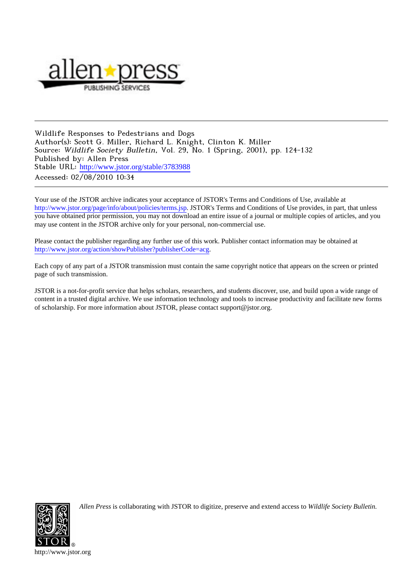

Wildlife Responses to Pedestrians and Dogs Author(s): Scott G. Miller, Richard L. Knight, Clinton K. Miller Source: Wildlife Society Bulletin, Vol. 29, No. 1 (Spring, 2001), pp. 124-132 Published by: Allen Press Stable URL: [http://www.jstor.org/stable/3783988](http://www.jstor.org/stable/3783988?origin=JSTOR-pdf) Accessed: 02/08/2010 10:34

Your use of the JSTOR archive indicates your acceptance of JSTOR's Terms and Conditions of Use, available at <http://www.jstor.org/page/info/about/policies/terms.jsp>. JSTOR's Terms and Conditions of Use provides, in part, that unless you have obtained prior permission, you may not download an entire issue of a journal or multiple copies of articles, and you may use content in the JSTOR archive only for your personal, non-commercial use.

Please contact the publisher regarding any further use of this work. Publisher contact information may be obtained at [http://www.jstor.org/action/showPublisher?publisherCode=acg.](http://www.jstor.org/action/showPublisher?publisherCode=acg)

Each copy of any part of a JSTOR transmission must contain the same copyright notice that appears on the screen or printed page of such transmission.

JSTOR is a not-for-profit service that helps scholars, researchers, and students discover, use, and build upon a wide range of content in a trusted digital archive. We use information technology and tools to increase productivity and facilitate new forms of scholarship. For more information about JSTOR, please contact support@jstor.org.



*Allen Press* is collaborating with JSTOR to digitize, preserve and extend access to *Wildlife Society Bulletin.*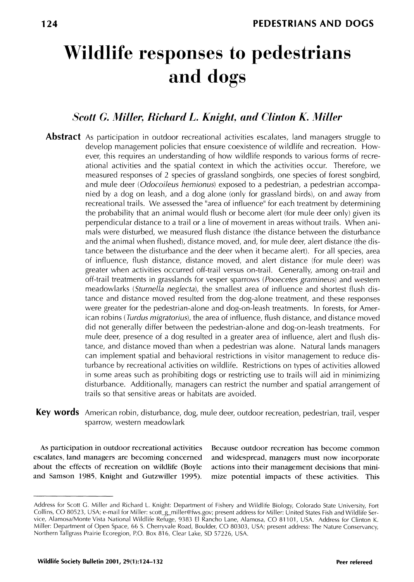# **Wildlife responses to pedestrians and dogs**

# **Scott G. Miller, Richard L. Knight, and Clinton K. Miller**

- **Abstract** As participation in outdoor recreational activities escalates, land managers struggle to **develop management policies that ensure coexistence of wildlife and recreation. How**ever, this requires an understanding of how wildlife responds to various forms of recre**ational activities and the spatial context in which the activities occur. Therefore, we measured responses of 2 species of grassland songbirds, one species of forest songbird,**  and mule deer (*Odocoileus hemionus*) exposed to a pedestrian, a pedestrian accompa**nied by a dog on leash, and a dog alone (only for grassland birds), on and away from recreational trails. We assessed the "area of influence'l for each treatment by determining the probability that an animal would flush or become alert (for mule deer only) given its**  perpendicular distance to a trail or a line of movement in areas without trails. When ani**mals were disturbed, we measured flush distance (the distance between the disturbance and the animal when flushed), distance moved, and, for mule deer, alert distance (the distance between the disturbance and the deer when it became alert). For all species, area of influence, flush distance, distance moved, and alert distance (for mule deer) was greater when activities occurred off-trail versus on-trail. Generally, among on-trail and off-trail treatments in grasslands for vesper sparrows (Pooecetes gramineus) and western meadowlarks (Sturnella neglecta), the smallest area of influence and shortest flush distance and distance moved resulted from the dog-alone treatment, and these responses were greater for the pedestrian-alone and dog-on-leash treatments. In forests, for American robins (Turdus migratorius), the area of influence, flush distance, and distance moved did not generally differ between the pedestrian-alone and dog-on-leash treatments. For mule deer, presence of a dog resulted in a greater area of influence, alert and flush distance, and distance moved than when a pedestrian was alone. Natural lands managers can implement spatial and behavioral restrictions in visitor management to reduce disturbance by recreational activities on wildlife. Restrictions on types of activities allowed in some areas such as prohibiting dogs or restricting use to trails will aid in minimizing disturbance. Additionally, managers can restrict the number and spatial arrangement of trails so that sensitive areas or habitats are avoided.**
- **Key words American robin, disturbance, dog, mule deer, outdoor recreation, pedestrian, trail, vesper sparrow, western meadowlark**

escalates, land managers are becoming concerned and widespread, managers must now incorporate **about the effects of recreation on wildlife (Boyle actions into their management decisions that miniand Samson 1985, Knight and Gutzwiller 1995). mize potential impacts of these activities. This** 

**As participation in outdoor recreational activities Because outdoor recreation has become common** 

**Address for Scott G. Miller and Richard L. Knight: Department of Fishery and Wildlife Biology, Colorado State University, Fort Collins, CO 80523, USA; e-mail for Miller: scott\_g\_miller@fws.gov; present address for Miller: United States Fish and Wildlife Service, Alamosa/Monte Vista National Wildlife Refuge, 9383 El Rancho Lane, Alamosa, CO 81101, USA. Address for Clinton K. Miller: Department of Open Space, 66 S. Cherryvale Road, Boulder, CO 80303, USA; present address: The Nature Conservancy, Northern Taligrass Prairie Ecoregion, P.O. Box 816, Clear Lake, SD 57226, USA.**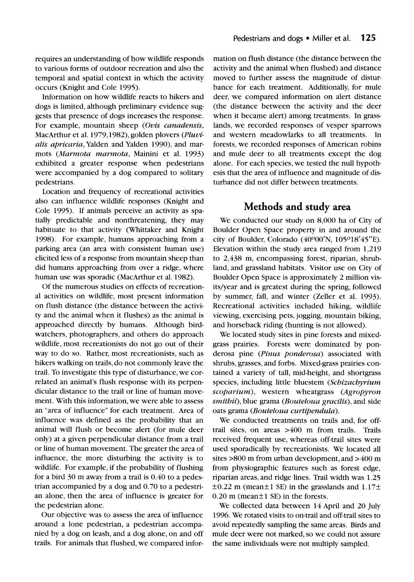**requires an understanding of how wildlife responds to various forms of outdoor recreation and also the temporal and spatial context in which the activity occurs (Knight and Cole 1995).** 

**Information on how wildlife reacts to hikers and dogs is limited, although preliminary evidence suggests that presence of dogs increases the response. For example, mountain sheep (Ovis canadensis, MacArthur et al. 1979,1982), golden plovers (Pluvi**alis apricaria, Yalden and Yalden 1990), and mar**mots (Marmota marmota, Mainini et al. 1993) exhibited a greater response when pedestrians were accompanied by a dog compared to solitary pedestrians.** 

**Location and frequency of recreational activities also can influence wildlife responses (Knight and Cole 1995). If animals perceive an activity as spatially predictable and nonthreatening, they may habituate to that activity (Whittaker and Knight 1998). For example, humans approaching from a parking area (an area with consistent human use) elicited less of a response from mountain sheep than did humans approaching from over a ridge, where human use was sporadic (MacArthur et al. 1982).** 

**Of the numerous studies on effects of recreational activities on wildlife, most present information on flush distance (the distance between the activity and the animal when it flushes) as the animal is approached directly by humans. Although birdwatchers, photographers, and others do approach**  wildlife, most recreationists do not go out of their **way to do so. Rather, most recreationists, such as hikers walking on trails, do not commonly leave the trail. To investigate this type of disturbance, we correlated an animal's flush response with its perpendicular distance to the trail or line of human move**ment. With this information, we were able to assess **an "area of influence" for each treatment. Area of influence was defined as the probability that an animal will flush or become alert (for mule deer only) at a given perpendicular distance from a trail or line of human movement. The greater the area of influence**, the more disturbing the activity is to **wildlife. For example, if the probability of flushing for a bird 30 m away from a trail is 0.40 to a pedestrian accompanied by a dog and 0.70 to a pedestrian alone, then the area of influence is greater for the pedestrian alone.** 

**Our objective was to assess the area of influence around a lone pedestrian, a pedestrian accompanied by a dog on leash, and a dog alone, on and off trails. For animals that flushed, we compared infor-** **mation on flush distance (the distance between the activity and the animal when flushed) and distance moved to further assess the magnitude of disturbance for each treatment. Additionally, for mule**  deer, we compared information on alert distance **(the distance between the activity and the deer when it became alert) among treatments. In grasslands, we recorded responses of vesper sparrows and western meadowlarks to all treatments. In forests, we recorded responses of American robins and mule deer to all treatments except the dog alone. For each species, we tested the null hypothesis that the area of influence and magnitude of disturbance did not differ between treatments.** 

## **Methods and study area**

We conducted our study on 8,000 ha of City of **Boulder Open Space property in and around the**  city of Boulder, Colorado (40°00'N, 105°18'45"E). **Elevation within the study area ranged from 1,219**  to 2,438 m, encompassing forest, riparian, shrub**land, and grassland habitats. Visitor use on City of Boulder Open Space is approximately 2 million visits/year and is greatest during the spring, followed by summer, fall, and winter (Zeller et al. 1993). Recreational activities included hiking, wildlife viewing, exercising pets, jogging, mountain biking, and horseback riding (hunting is not allowed).** 

**We located study sites in pine forests and mixedgrass prairies. Forests were dominated by ponderosa pine (Pinus ponderosa) associated with shrubs, grasses, and forbs. Mixed-grass prairies contained a variety of tall, mid-height, and shortgrass species, including little bluestem (Schizachyrium scoparium**), western wheatgrass (Agropyron **smithif), blue grama (Bouteloua gracilis), and side oats grama (Bouteloua curtipendula).** 

**We conducted treatments on trails and, for offtrail sites, on areas >4Q0 m from trails. Trails**  received frequent use, whereas off-trail sites were **used sporadically by recreationists. We located all sites >800 m from urban development, and >400 m from physiographic features such as forest edge, riparian areas, and ridge lines. Trail width was 1.25**   $\pm 0.22$  m (mean $\pm 1$  SE) in the grasslands and  $1.17\pm$ 0.20 m (mean $\pm$ 1 SE) in the forests.

**We collected data between 14 April and 20 July 1996. We rotated visits to on-trail and off-trail sites to avoid repeatedly sampling the same areas. Birds and mule deer were not marked, so we could not assure**  the same individuals were not multiply sampled.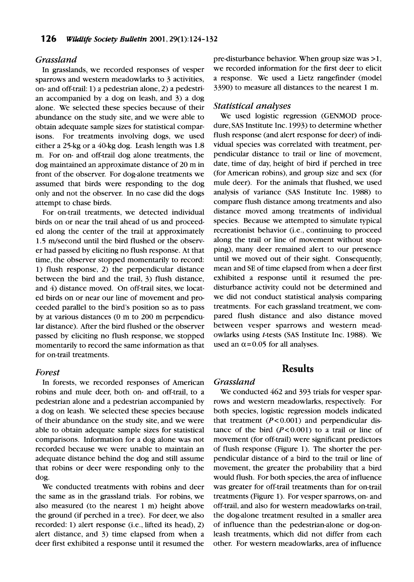#### **Grassland**

**In grasslands, we recorded responses of vesper sparrows and western meadowlarks to 3 activities, on- and off-trail: 1) a pedestrian alone, 2) a pedestrian accompanied by a dog on leash, and 3) a dog alone. We selected these species because of their abundance on the study site, and we were able to obtain adequate sample sizes for statistical comparisons. For treatments involving dogs, we used either a 25-kg or a 40-kg dog. Leash length was 1.8 m. For on- and off-trail dog alone treatments, the dog maintained an approximate distance of 20 m in front of the observer. For dog-alone treatments we assumed that birds were responding to the dog only and not the observer. In no case did the dogs attempt to chase birds.** 

**For on-trail treatments, we detected individual birds on or near the trail ahead of us and proceeded along the center of the trail at approximately 1.5 m/second until the bird flushed or the observer had passed by eliciting no flush response. At that time, the observer stopped momentarily to record: 1) flush response, 2) the perpendicular distance between the bird and the trail, 3) flush distance, and 4) distance moved. On off-trail sites, we located birds on or near our line of movement and proceeded parallel to the bird's position so as to pass by at various distances (0 m to 200 m perpendicular distance). After the bird flushed or the observer passed by eliciting no flush response, we stopped momentarily to record the same information as that for on-trail treatments.** 

#### **Forest**

**In forests, we recorded responses of American robins and mule deer, both on- and off-trail, to a pedestrian alone and a pedestrian accompanied by a dog on leash. We selected these species because of their abundance on the study site, and we were able to obtain adequate sample sizes for statistical comparisons. Information for a dog alone was not recorded because we were unable to maintain an adequate distance behind the dog and still assume that robins or deer were responding only to the dog.** 

**We conducted treatments with robins and deer the same as in the grassland trials. For robins, we also measured (to the nearest 1 m) height above the ground (if perched in a tree). For deer, we also recorded: 1) alert response (i.e., lifted its head), 2) alert distance, and 3) time elapsed from when a deer first exhibited a response until it resumed the**  **pre-disturbance behavior. When group size was >1, we recorded information for the first deer to elicit a response. We used a Lietz rangefinder (model 3390) to measure all distances to the nearest 1 m.** 

#### **Statistical analyses**

**We used logistic regression (GENMOD procedure, SAS Institute Inc. 1993) to determine whether flush response (and alert response for deer) of individual species was correlated with treatment, perpendicular distance to trail or line of movement, date, time of day, height of bird if perched in tree (for American robins), and group size and sex (for mule deer). For the animals that flushed, we used analysis of variance (SAS Institute Inc. 1988) to compare flush distance among treatments and also distance moved among treatments of individual species. Because we attempted to simulate typical recreationist behavior (i.e., continuing to proceed along the trail or line of movement without stopping), many deer remained alert to our presence until we moved out of their sight. Consequently, mean and SE of time elapsed from when a deer first exhibited a response until it resumed the predisturbance activity could not be determined and we did not conduct statistical analysis comparing treatments. For each grassland treatment, we compared flush distance and also distance moved between vesper sparrows and western meadowlarks using t-tests (SAS Institute Inc. 1988). We**  used an  $\alpha$ =0.05 for all analyses.

## **Results**

## **Grassland**

**We conducted 462 and 393 trials for vesper sparrows and western meadowlarks, respectively. For both species, logistic regression models indicated**  that treatment (P<0.001) and perpendicular distance of the bird  $(P<0.001)$  to a trail or line of **movement (for off-trail) were significant predictors of flush response (Figure 1). The shorter the perpendicular distance of a bird to the trail or line of movement, the greater the probability that a bird would flush. For both species, the area of influence was greater for off-trail treatments than for on-trail treatments (Figure 1). For vesper sparrows, on- and off-trail, and also for western meadowlarks on-trail, the dog-alone treatment resulted in a smaller area of influence than the pedestrian-alone or dog-onleash treatments, which did not differ from each other. For western meadowlarks, area of influence**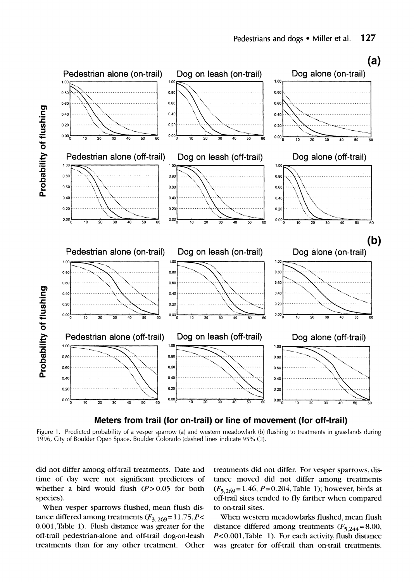

**Figure 1. Predicted probability of a vesper sparrow (a) and western meadowlark (b) flushing to treatments in grasslands during 1996, City of Boulder Open Space, Boulder Colorado (dashed lines indicate 95% Cl).** 

**did not differ among off-trail treatments. Date and time of day were not significant predictors of**  whether a bird would flush  $(P > 0.05$  for both **species).** 

**When vesper sparrows flushed, mean flush dis**tance differed among treatments  $(F_{3, 269} = 11.75, P <$ **0.001,Table 1). Flush distance was greater for the off-trail pedestrian-alone and off-trail dog-on-leash treatments than for any other treatment. Other** 

**treatments did not differ. For vesper sparrows, distance moved did not differ among treatments (F5 269= 1.46, P=0.204, Table 1); however, birds at off-trail sites tended to fly farther when compared to on-trail sites.** 

**When western meadowlarks flushed, mean flush**  distance differed among treatments  $(F_{5,244}=8.00)$ , P<0.001, Table 1). For each activity, flush distance **was greater for off-trail than on-trail treatments.**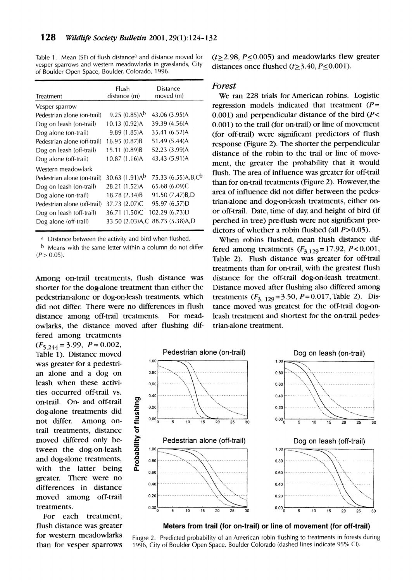Table 1. Mean (SE) of flush distance<sup>a</sup> and distance moved for **vesper sparrows and western meadowlarks in grasslands, City of Boulder Open Space, Boulder, Colorado, 1996.** 

| Flush<br>distance (m)         | Distance<br>moved (m)               |
|-------------------------------|-------------------------------------|
|                               |                                     |
| $9.25(0.85)$ Ab               | 43.06 (3.95)A                       |
| 10.13 (0.92)A                 | 39.39 (4.56)A                       |
| 9.89(1.85)A                   | 35.41 (6.52)A                       |
| 16.95 (0.87)B                 | 51.49 (5.44)A                       |
| 15.11 (0.89)B                 | 52.23 (3.99)A                       |
| 10.87 (1.16)A                 | 43.43 (5.91)A                       |
|                               |                                     |
| 30.63 $(1.91)$ A <sup>b</sup> | 75.33 (6.55)A,B,C <sup>b</sup>      |
| 28.21 (1.52)A                 | 65.68 (6.09)C                       |
| 18.78 (2.34)B                 | 91.50 (7.47)B,D                     |
| 37.73 (2.07)C                 | 95.97 (6.57)D                       |
| 36.71 (1.50)C                 | 102.29 (6.73)D                      |
|                               | 33.50 (2.03) A, C 88.75 (5.38) A, D |
|                               |                                     |

**<sup>a</sup>Distance between the activity and bird when flushed.** 

**b Means with the same letter within a column do not differ**   $(P > 0.05)$ .

**Among on-trail treatments, flush distance was**  shorter for the dog-alone treatment than either the **pedestrian-alone or dog-on-leash treatments, which did not differ. There were no differences in flush distance among off-trail treatments. For meadowlarks, the distance moved after flushing differed among treatments** 

 $(F_{5,244} = 3.99, P = 0.002,$ **Table 1). Distance moved**  was greater for a pedestri**an alone and a dog on leash when these activities occurred off-trail vs. on-trail. On- and off-trail doaalone treatments did not differ. Among ontrail treatments, distance moved differed only between the dog-on-leash and dog-alone treatments, with the latter being greater. There were no differences in distance moved among off-trail treatments.** 

**For each treatment, flush distance was greater for western meadowlarks than for vesper sparrows**   $(t \geq 2.98, P \leq 0.005)$  and meadowlarks flew greater distances once flushed  $(t \geq 3.40, P \leq 0.001)$ .

#### **Forest**

**We ran 228 trials for American robins. Logistic regression models indicated that treatment (P= 0.001) and perpendicular distance of the bird (P< 0.001) to the trail (for on-trail) or line of movement**  (for off-trail) were significant predictors of flush **response (Figure 2). The shorter the perpendicular distance of the robin to the trail or line of move**ment, the greater the probability that it would **flush. The area of influence was greater for off-trail than for on-trail treatments (Figure 2). However, the area of influence did not differ between the pedes**trian-alone and dog-on-leash treatments, either onor off-trail. Date, time of day, and height of bird (if **perched in tree) pre-flush were not significant predictors of whether a robin flushed (all P>0.05).** 

**When robins flushed, mean flush distance dif**fered among treatments  $(F_{3,129} = 17.92, P < 0.001,$ **Table 2). Flush distance was greater for off-trail treatments than for on-trail with the greatest flush distance for the off-trail dog-on-leash treatment. Distance moved after flushing also differed among** treatments  $(F_{3, 129} = 3.50, P = 0.017,$  Table 2). Dis**tance moved was greatest for the off-trail dog-onleash treatment and shortest for the on-trail pedestrian-alone treatment.** 





**Fiugre 2. Predicted probability of an American robin flushing to treatments in forests during 1996, City of Boulder Open Space, Boulder Colorado (dashed lines indicate 95% Cl).**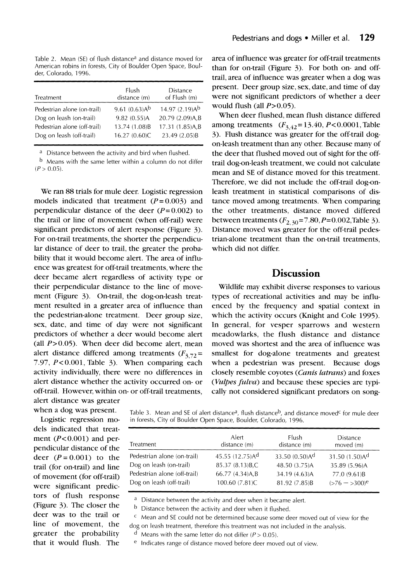Table 2. Mean (SE) of flush distance<sup>a</sup> and distance moved for **American robins in forests, City of Boulder Open Space, Boulder, Colorado, 1996.** 

| Treatment                    | Flush<br>distance (m) | <b>Distance</b><br>of Flush (m) |
|------------------------------|-----------------------|---------------------------------|
| Pedestrian alone (on-trail)  | 9.61 $(0.63)$ Ab      | 14.97 $(2.19)$ Ab               |
| Dog on leash (on-trail)      | 9.82 (0.55)A          | 20.79 (2.09)A,B                 |
| Pedestrian alone (off-trail) | 13.74 (1.08)B         | 17.31 (1.85)A,B                 |
| Dog on leash (off-trail)     | 16.27 (0.60)C         | 23.49 (2.05)B                   |

**<sup>a</sup>Distance between the activity and bird when flushed.** 

**b Means with the same letter within a column do not differ**   $(P > 0.05)$ .

**We ran 88 trials for mule deer. Logistic regression**  models indicated that treatment  $(P=0.003)$  and **perpendicular distance of the deer**  $(P= 0.002)$  **to the trail or line of movement (when off-rail) were significant predictors of alert response (Figure 3). For on-trail treatments, the shorter the perpendicular distance of deer to trail, the greater the probability that it would become alert. The area of influence was greatest for off-trail treatments, where the deer became alert regardless of activity type or their perpendicular distance to the line of movement (Figure 3). On-trail, the dog-on-leash treatment resulted in a greater area of influence than the pedestrian-alone treatment. Deer group size, sex, date, and time of day were not significant predictors of whether a deer would become alert (all P>0.05). When deer did become alert, mean**  alert distance differed among treatments  $(F_{3,72}$ = **7.97, P< 0.001, Table 3). When comparing each activity individually, there were no differences in alert distance whether the activity occurred on- or off-trail. However, within on- or off-trail treatments, alert distance was greater** 

**when a dog was present.** 

**Logistic regression models indicated that treat**ment  $(P<0.001)$  and per**pendicular distance of the**  deer  $(P = 0.001)$  to the **trail (for on-trail) and line of movement (for off-trail) were significant predictors of flush response (Figure 3). The closer the deer was to the trail or line of movement, the greater the probability that it would flush. The**  **area of influence was greater for off-trail treatments than for on-trail (Figure 3). For both on- and offtrail, area of influence was greater when a dog was present. Deer group size, sex, date, and time of day were not significant predictors of whether a deer would flush (all P>0.05).** 

**When deer flushed, mean flush distance differed among treatments (F3 42 = 13.40, P< 0.0001, Table 3). Flush distance was greater for the off-trail dogon-leash treatment than any other. Because many of the deer that flushed moved out of sight for the offtrail dog-on-leash treatment, we could not calculate mean and SE of distance moved for this treatment. Therefore, we did not include the off-trail dog-onleash treatment in statistical comparisons of distance moved among treatments. When comparing the other treatments, distance moved differed**  between treatments  $(F_{2,30} = 7.80, P = 0.002, \text{Table 3}).$ **Distance moved was greater for the off-trail pedestrian-alone treatment than the on-trail treatments, which did not differ.** 

## **Discussion**

**Wildlife may exhibit diverse responses to various types of recreational activities and may be influenced by the frequency and spatial context in which the activity occurs (Knight and Cole 1995). In general, for vesper sparrows and western meadowlarks, the flush distance and distance moved was shortest and the area of influence was smallest for dog-alone treatments and greatest when a pedestrian was present. Because dogs closely resemble coyotes (Canis latrans) and foxes (Vulpes fulva) and because these species are typically not considered significant predators on song-**

Table 3. Mean and SE of alert distance<sup>a</sup>, flush distance<sup>b</sup>, and distance moved<sup>c</sup> for mule deer **in forests, City of Boulder Open Space, Boulder, Colorado, 1996.** 

| Treatment                    | Alert<br>distance (m) | Flush<br>distance (m)         | Distance<br>moved (m)         |
|------------------------------|-----------------------|-------------------------------|-------------------------------|
| Pedestrian alone (on-trail)  | 45.55 (12.75)Ad       | 33.50 $(0.50)$ A <sup>d</sup> | 31.50 $(1.50)$ A <sup>d</sup> |
| Dog on leash (on-trail)      | 85.37 (8.13) B.C      | 48.50 (3.75)A                 | 35.89 (5.96)A                 |
| Pedestrian alone (off-trail) | 66.77 (4.34)A,B       | 34.19 (4.63)A                 | 77.0 (9.61)B                  |
| Dog on leash (off-trail)     | 100.60 (7.81)C        | 81.92 (7.85)B                 | $(>76 - 300)^e$               |

**a Distance between the activity and deer when it became alert.** 

**b Distance between the activity and deer when it flushed.** 

**c Mean and SE could not be determined because some deer moved out of view for the dog on leash treatment, therefore this treatment was not included in the analysis.** 

**d** Means with the same letter do not differ ( $P > 0.05$ ).

**e Indicates range of distance moved before deer moved out of view.**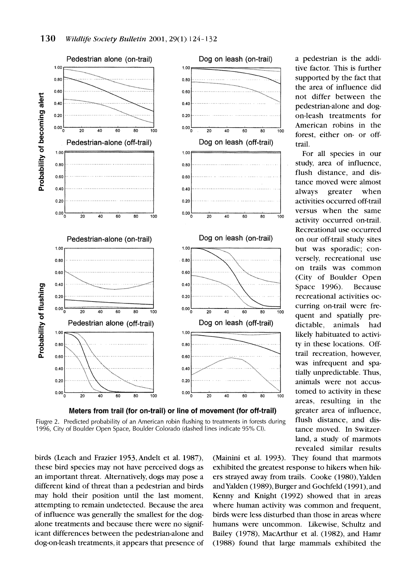

**Fiugre 2. Predicted probability of an American robin flushing to treatments in forests during langler distance, and dis-**1996, City of Boulder Open Space, Boulder Colorado (dashed lines indicate 95% CI).

these bird species may not have perceived dogs as an important threat. Alternatively, dogs may pose a different kind of threat than a pedestrian and birds may hold their position until the last moment, attempting to remain undetected. Because the area of influence was generally the smallest for the dogalone treatments and because there were no significant differences between the pedestrian-alone and dog-on-leash treatments, it appears that presence of birds (Leach and Frazier 1953, Andelt et al. 1987),

**1987), (Mainini et al. 1993). They found that marmots**  exhibited the greatest response to hikers when hikers strayed away from trails. Cooke (1980), Yalden and Yalden (1989), Burger and Gochfeld (1991), and Kenny and Knight (1992) showed that in areas where human activity was common and frequent, birds were less disturbed than those in areas where humans were uncommon. Likewise, Schultz and Bailey (1978), MacArthur et al. (1982), and Hamr **rge mammals exhibited the** 

tive factor. This is further supported by the fact that the area of influence did **... not differ between the pedestrian-alone and dog**forest, either on- or off-

flush distance, and dis**tance moved were almost always greater when Recreational use occurred**  but was sporadic; con-**\ .' on trails was common (City of Boulder Open** curring on-trail were fretrail recreation, however, was infrequent and spa**areas, resulting in the**  tance moved. In Switzer**land, a study of marmots revealed similar results**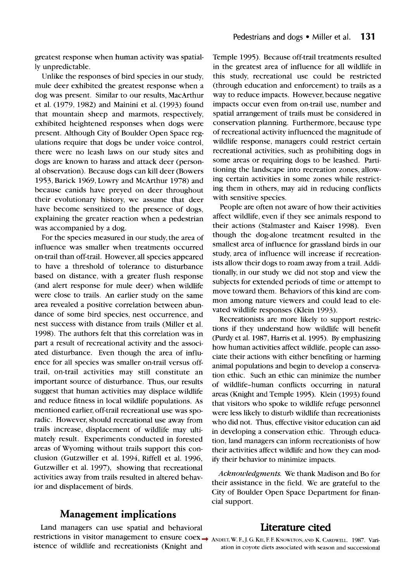**greatest response when human activity was spatially unpredictable.** 

**Unlike the responses of bird species in our study, mule deer exhibited the greatest response when a dog was present. Similar to our results MacArthur et al. (1979, 1982) and Mainini et al. (1993) found that mountain sheep and marmots, respectively, exhibited heightened responses when dogs were present. Although City of Boulder Open Space regulations require that dogs be under voice control, there were no leash laws on our study sites and dogs are known to harass and attack deer (personal observation). Because dogs can kill deer (Bowers 1953 Barick 1969, Lowry and McArthur 1978) and because canids have preyed on deer throughout their evolutionary history, we assume that deer have become sensitized to the presence of dogs, explaining the greater reaction when a pedestrian was accompanied by a dog.** 

**For the species measured in our study, the area of influence was smaller when treatments occurred**  on-trail than off-trail. However, all species appeared **to have a threshold of tolerance to disturbance based on distance, with a greater flush response (and alert response for mule deer) when wildlife were close to trails. An earlier study on the same area revealed a positive correlation between abundance of some bird species, nest occurrence, and**  nest success with distance from trails (Miller et al. **1998). The authors felt that this correlation was in part a result of recreational activity and the associated disturbance. Even though the area of influence for all species was smaller on-trail versus offtrail, on-trail activities may still constitute an important source of disturbance. Thus, our results suggest that human activities may displace wildlife and reduce fitness in local wildlife populations. As mentioned earlier, off-trail recreational use was sporadic. However, should recreational use away from trails increase, displacement of wildlife may ultimately result. Experiments conducted in forested areas of Wyoming without trails support this conclusion (Gutzwiller et al. 1994, Riffell et al. 1996, Gutzwiller et al. 1997), showing that recreational activities away from trails resulted in altered behavior and displacement of birds.** 

# **Management implications**

**Land managers can use spatial and behavioral restrictions in visitor management to ensure coex**  $\rightarrow$  **ANDELT, W. F., J. G. KIE, F. F. KNOWLTON, AND K. CARDWELL. 1987. Variistence of wildlife and recreationists (Knight and** 

**Temple 1995). Because off-trail treatments resulted in the greatest area of influence for all wildlife in this study, recreational use could be restricted (through education and enforcement) to trails as a way to reduce impacts. However, because negative impacts occur even from on-trail use, number and spatial arrangement of trails must be considered in**  conservation planning. Furthermore, because type **of recreational activity influenced the magnitude of wildlife response, managers could restrict certain recreational activities, such as prohibiting dogs in some areas or requiring dogs to be leashed. Partitioning the landscape into recreation zones, allow**ing certain activities in some zones while restrict**ing them in others, may aid in reducing conflicts with sensitive species** 

**People are often not aware of how their activities affect wildlife, even if they see animals respond to their actions (Stalmaster and Kaiser 1998). Even though the dog-alone treatment resulted in the smallest area of influence for grassland birds in our study, area of influence will increase if recreationists allow their dogs to roam away from a trail. Additionally, in our study we did not stop and view the subjects for extended periods of time or attempt to move toward them. Behaviors of this kind are common among nature viewers and could lead to elevated wildlife responses (Klein 1993).** 

**Recreationists are more likely to support restrictions if they understand how wildlife will benefit**  (Purdy et al. 1987, Harris et al. 1995). By emphasizing **how human activities affect wildlife, people can associate their actions with either benefiting or harming animal populations and begin to develop a conservation ethic. Such an ethic can minimize the number of wildlife-human conflicts occurring in natural areas (Knight and Temple 1995). Klein (1993) found that visitors who spoke to wildlife refuge personnel were less likely to disturb wildlife than recreationists who did not. Thus, effective visitor education can aid in developing a conservation ethic. Through education, land managers can inform recreationists of how their activities affect wildlife and how they can modify their behavior to minimize impacts.** 

**Acknowledgments. We thank Madison and Bo for their assistance in the field. We are grateful to the City of Boulder Open Space Department for financial support.** 

## **Literature cited**

**ation in coyote diets associated with season and successional**